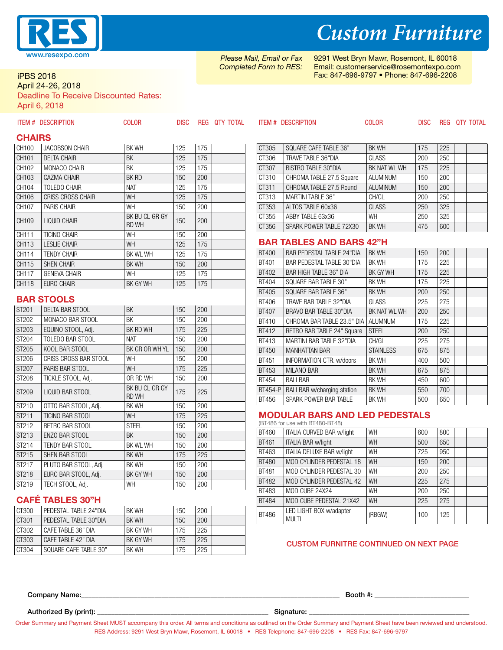

iPBS 2018

#### April 24-26, 2018

Deadline To Receive Discounted Rates:

April 6, 2018

|               | <b>ITEM # DESCRIPTION</b> | <b>COLOR</b>                   | <b>DISC</b> |                  | REG QTY TOTAL |                                | <b>ITEM # DESCRIPTION</b>                                   | <b>COLOR</b>              | <b>DISC</b> |            | REG QTY TOTAL |
|---------------|---------------------------|--------------------------------|-------------|------------------|---------------|--------------------------------|-------------------------------------------------------------|---------------------------|-------------|------------|---------------|
| <b>CHAIRS</b> |                           |                                |             |                  |               |                                |                                                             |                           |             |            |               |
| CH100         | <b>JACOBSON CHAIR</b>     | <b>BK WH</b>                   | 125         | 175              |               | CT305                          | SQUARE CAFE TABLE 36"                                       | <b>BK WH</b>              | 175         | 225        |               |
| CH101         | <b>DELTA CHAIR</b>        | <b>BK</b>                      | 125         | 175              |               | CT306                          | TRAVE TABLE 36"DIA                                          | GLASS                     | 200         | 250        |               |
| CH102         | MONACO CHAIR              | <b>BK</b>                      | 125         | 175              |               | CT307                          | <b>BISTRO TABLE 30"DIA</b>                                  | BK NAT WL WH              | 175         | 225        |               |
| CH103         | CAZMA CHAIR               | <b>BK RD</b>                   | 150         | $\overline{200}$ |               | CT310                          | CHROMA TABLE 27.5 Square                                    | <b>ALUMINUM</b>           | 150         | 200        |               |
| CH104         | <b>TOLEDO CHAIR</b>       | <b>NAT</b>                     | 125         | 175              |               | CT311                          | CHROMA TABLE 27.5 Round                                     | <b>ALUMINUM</b>           | 150         | 200        |               |
| CH106         | <b>CRISS CROSS CHAIR</b>  | WH                             | 125         | 175              |               | CT313                          | <b>MARTINI TABLE 36"</b>                                    | CH/GL                     | 200         | 250        |               |
| CH107         | <b>PARIS CHAIR</b>        | WH                             | 150         | 200              |               | CT353                          | ALTOS TABLE 60x36                                           | GLASS                     | 250         | 325        |               |
| CH109         | <b>LIQUID CHAIR</b>       | BK BU CL GR GY<br><b>RD WH</b> | 150         | 200              |               | CT355<br>CT356                 | ABBY TABLE 63x36<br>SPARK POWER TABLE 72X30                 | <b>WH</b><br><b>BK WH</b> | 250<br>475  | 325<br>600 |               |
| CH111         | <b>TICINO CHAIR</b>       | WH                             | 150         | 200              |               |                                |                                                             |                           |             |            |               |
| CH113         | <b>LESLIE CHAIR</b>       | WH                             | 125         | 175              |               |                                | <b>BAR TABLES AND BARS 42"H</b>                             |                           |             |            |               |
| CH114         | <b>TENDY CHAIR</b>        | BK WL WH                       | 125         | 175              |               | <b>BT400</b>                   | <b>BAR PEDESTAL TABLE 24"DIA</b>                            | <b>BK WH</b>              | 150         | 200        |               |
| CH115         | <b>SHEN CHAIR</b>         | BK WH                          | 150         | 200              |               | BT401                          | BAR PEDESTAL TABLE 30"DIA                                   | <b>BK WH</b>              | 175         | 225        |               |
| CH117         | <b>GENEVA CHAIR</b>       | WH                             | 125         | 175              |               | <b>BT402</b>                   | BAR HIGH TABLE 36" DIA                                      | BK GY WH                  | 175         | 225        |               |
| CH118         | EURO CHAIR                | BK GY WH                       | 125         | 175              |               | BT404                          | SQUARE BAR TABLE 30"                                        | <b>BK WH</b>              | 175         | 225        |               |
|               |                           |                                |             |                  |               | <b>BT405</b>                   | SQUARE BAR TABLE 36"                                        | <b>BK WH</b>              | 200         | 250        |               |
|               | <b>BAR STOOLS</b>         |                                |             |                  |               | BT406                          | TRAVE BAR TABLE 32"DIA                                      | <b>GLASS</b>              | 225         | 275        |               |
| ST201         | <b>DELTA BAR STOOL</b>    | <b>BK</b>                      | 150         | 200              |               | <b>BT407</b>                   | BRAVO BAR TABLE 30"DIA                                      | BK NAT WL WH              | 200         | 250        |               |
| ST202         | MONACO BAR STOOL          | <b>BK</b>                      | 150         | 200              |               | BT410                          | CHROMA BAR TABLE 23.5" DIA ALUMNUM                          |                           | 175         | 225        |               |
| ST203         | EQUINO STOOL, Adj.        | BK RD WH                       | 175         | 225              |               | BT412                          | RETRO BAR TABLE 24" Square                                  | <b>STEEL</b>              | 200         | 250        |               |
| ST204         | TOLEDO BAR STOOL          | <b>NAT</b>                     | 150         | 200              |               | BT413                          | MARTINI BAR TABLE 32"DIA                                    | CH/GL                     | 225         | 275        |               |
| ST205         | KOOL BAR STOOL            | BK GR OR WH YL                 | 150         | 200              |               | BT450                          | <b>MANHATTAN BAR</b>                                        | <b>STAINLESS</b>          | 675         | 875        |               |
| ST206         | CRISS CROSS BAR STOOL     | WH                             | 150         | 200              |               | BT451                          | INFORMATION CTR. w/doors                                    | <b>BK WH</b>              | 400         | 500        |               |
| ST207         | PARIS BAR STOOL           | WH                             | 175         | 225              |               | <b>BT453</b>                   | <b>MILANO BAR</b>                                           | <b>BK WH</b>              | 675         | 875        |               |
| ST208         | TICKLE STOOL, Adj.        | OR RD WH                       | 150         | 200              |               | <b>BT454</b>                   | <b>BALI BAR</b>                                             | BK WH                     | 450         | 600        |               |
| ST209         | LIQUID BAR STOOL          | BK BU CL GR GY<br><b>RD WH</b> | 175         | 225              |               | <b>BT454-P</b><br><b>BT456</b> | <b>BALI BAR w/charging station</b><br>SPARK POWER BAR TABLE | <b>BK WH</b><br>BK WH     | 550<br>500  | 700<br>650 |               |
| ST210         | OTTO BAR STOOL, Adj.      | <b>BK WH</b>                   | 150         | 200              |               |                                |                                                             |                           |             |            |               |
| ST211         | TICINO BAR STOOL          | WH                             | 175         | 225              |               |                                | <b>MODULAR BARS AND LED PEDESTALS</b>                       |                           |             |            |               |
| ST212         | RETRO BAR STOOL           | <b>STEEL</b>                   | 150         | 200              |               |                                | (BT486 for use with BT480-BT48)                             |                           |             |            |               |
| ST213         | ENZO BAR STOOL            | <b>BK</b>                      | 150         | 200              |               | BT460                          | <b>ITALIA CURVED BAR w/light</b>                            | WH                        | 600         | 800        |               |
| ST214         | <b>TENDY BAR STOOL</b>    | BK WL WH                       | 150         | 200              |               | <b>BT461</b>                   | <b>ITALIA BAR w/light</b>                                   | WH                        | 500         | 650        |               |
| ST215         | SHEN BAR STOOL            | BK WH                          | 175         | 225              |               | BT463                          | <b>ITALIA DELUXE BAR w/light</b>                            | WH                        | 725         | 950        |               |
| ST217         | PLUTO BAR STOOL, Adj.     | <b>BK WH</b>                   | 150         | 200              |               | <b>BT480</b>                   | MOD CYLINDER PEDESTAL 18                                    | WH                        | 150         | 200        |               |
| ST218         | EURO BAR STOOL, Adj.      | BK GY WH                       | 150         | 200              |               | <b>BT481</b>                   | MOD CYLINDER PEDESTAL 30                                    | WH                        | 200         | 250        |               |
| ST219         | TECH STOOL, Adj.          | WH                             | 150         | 200              |               | <b>BT482</b>                   | MOD CYLINDER PEDESTAL 42                                    | WH                        | 225         | 275        |               |
|               |                           |                                |             |                  |               | <b>BT483</b>                   | MOD CUBE 24X24                                              | WH                        | 200         | 250        |               |
|               | <b>CAFÉ TABLES 30"H</b>   |                                |             |                  |               | <b>BT484</b>                   | MOD CUBE PEDESTAL 21X42                                     | WH                        | 225         | 275        |               |
| CT300         | PEDESTAL TABLE 24"DIA     | <b>BK WH</b>                   | 150         | 200              |               | BT486                          | LED LIGHT BOX w/adapter                                     | (RBGW)                    | 100         | 125        |               |
| CT301         | PEDESTAL TABLE 30"DIA     | <b>BK WH</b>                   | 150         | 200              |               |                                | <b>MULTI</b>                                                |                           |             |            |               |
| CT302         | CAFE TABLE 36" DIA        | BK GY WH                       | 175         | 225              |               |                                |                                                             |                           |             |            |               |

#### CUSTOM FURNITRE CONTINUED ON NEXT PAGE

Company Name:\_\_\_\_\_\_\_\_\_\_\_\_\_\_\_\_\_\_\_\_\_\_\_\_\_\_\_\_\_\_\_\_\_\_\_\_\_\_\_\_\_\_\_\_\_\_\_\_\_\_\_\_\_\_\_\_\_\_\_\_\_\_\_\_\_\_\_\_\_\_\_\_\_\_ Booth #: \_\_\_\_\_\_\_\_\_\_\_\_\_\_\_\_\_\_\_\_\_\_\_\_\_\_\_

Authorized By (print): \_\_\_\_\_\_\_\_\_\_\_\_\_\_\_\_\_\_\_\_\_\_\_\_\_\_\_\_\_\_\_\_\_\_\_\_\_\_\_\_\_\_\_\_\_\_\_\_\_ Signature: \_\_\_\_\_\_\_\_\_\_\_\_\_\_\_\_\_\_\_\_\_\_\_\_\_\_\_\_\_\_\_\_\_\_\_\_\_\_\_\_\_\_\_\_\_\_

CT303  $\overline{)$  CAFE TABLE 42" DIA  $\overline{)$ BK GY WH 175 225 CT304 SQUARE CAFE TABLE 30" BK WH 175 225

Order Summary and Payment Sheet MUST accompany this order. All terms and conditions as outlined on the Order Summary and Payment Sheet have been reviewed and understood. RES Address: 9291 West Bryn Mawr, Rosemont, IL 60018 • RES Telephone: 847-696-2208 • RES Fax: 847-696-9797

# *Custom Furniture*

*Please Mail, Email or Fax Completed Form to RES:* 9291 West Bryn Mawr, Rosemont, IL 60018 Email: customerservice@rosemontexpo.com Fax: 847-696-9797 • Phone: 847-696-2208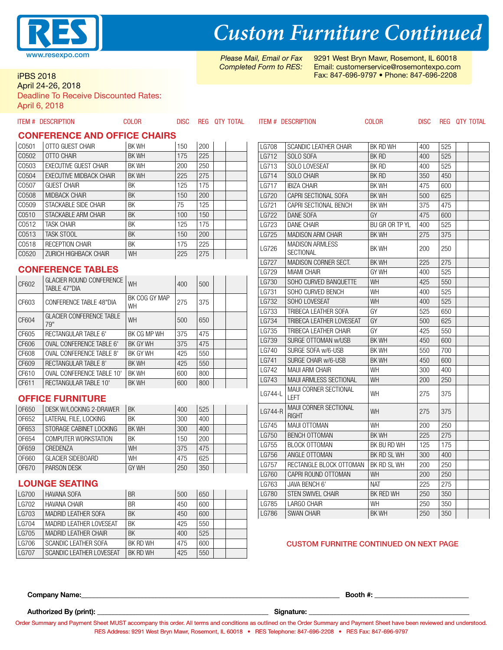

*Custom Furniture Continued*

*Please Mail, Email or Fax Completed Form to RES:* 9291 West Bryn Mawr, Rosemont, IL 60018 Email: customerservice@rosemontexpo.com Fax: 847-696-9797 • Phone: 847-696-2208

iPBS 2018

April 24-26, 2018

Deadline To Receive Discounted Rates: April 6, 2018

|              | <b>ITEM # DESCRIPTION</b>           | <b>COLOR</b>               | <b>DISC</b> |            | REG QTY TOTAL |              | <b>ITEM # DESCRIPTION</b>             | <b>COLOR</b>   | <b>DISC</b> |                  | REG QTY TOTAL |
|--------------|-------------------------------------|----------------------------|-------------|------------|---------------|--------------|---------------------------------------|----------------|-------------|------------------|---------------|
|              | <b>CONFERENCE AND OFFICE CHAIRS</b> |                            |             |            |               |              |                                       |                |             |                  |               |
| C0501        | OTTO GUEST CHAIR                    | <b>BK WH</b>               | 150         | 200        |               | <b>LG708</b> | <b>SCANDIC LEATHER CHAIR</b>          | BK RD WH       | 400         | 525              |               |
| C0502        | <b>OTTO CHAIR</b>                   | <b>BK WH</b>               | 175         | 225        |               | LG712        | SOLO SOFA                             | <b>BK RD</b>   | 400         | 525              |               |
| C0503        | <b>EXECUTIVE GUEST CHAIR</b>        | <b>BK WH</b>               | 200         | 250        |               | LG713        | SOLO LOVESEAT                         | BK RD          | 400         | 525              |               |
| C0504        | <b>EXECUTIVE MIDBACK CHAIR</b>      | <b>BK WH</b>               | 225         | 275        |               | LG714        | SOLO CHAIR                            | BK RD          | 350         | 450              |               |
| C0507        | <b>GUEST CHAIR</b>                  | BK                         | 125         | 175        |               | <b>LG717</b> | <b>IBIZA CHAIR</b>                    | <b>BKWH</b>    | 475         | 600              |               |
| C0508        | <b>MIDBACK CHAIR</b>                | BK                         | 150         | 200        |               | LG720        | CAPRI SECTIONAL SOFA                  | BK WH          | 500         | 625              |               |
| C0509        | STACKABLE SIDE CHAIR                | BK                         | 75          | 125        |               | LG721        | CAPRI SECTIONAL BENCH                 | BK WH          | 375         | 475              |               |
| C0510        | STACKABLE ARM CHAIR                 | <b>BK</b>                  | 100         | 150        |               | <b>LG722</b> | <b>DANE SOFA</b>                      | GY             | 475         | 600              |               |
| C0512        | <b>TASK CHAIR</b>                   | <b>BK</b>                  | 125         | 175        |               | LG723        | <b>DANE CHAIR</b>                     | BU GR OR TP YL | 400         | 525              |               |
| C0513        | <b>TASK STOOL</b>                   | <b>BK</b>                  | 150         | 200        |               | LG725        | <b>MADISON ARM CHAIR</b>              | BK WH          | 275         | 375              |               |
| C0518        | <b>RECEPTION CHAIR</b>              | <b>BK</b>                  | 175         | 225        |               |              | <b>MADISON ARMLESS</b>                |                |             |                  |               |
| C0520        | ZURICH HIGHBACK CHAIR               | WH                         | 225         | 275        |               | LG726        | <b>SECTIONAL</b>                      | <b>BKWH</b>    | 200         | 250              |               |
|              |                                     |                            |             |            |               | <b>LG727</b> | MADISON CORNER SECT.                  | BK WH          | 225         | 275              |               |
|              | <b>CONFERENCE TABLES</b>            |                            |             |            |               | LG729        | <b>MIAMI CHAIR</b>                    | GY WH          | 400         | 525              |               |
| CF602        | <b>GLACIER ROUND CONFERENCE</b>     | WH                         | 400         | 500        |               | <b>LG730</b> | SOHO CURVED BANQUETTE                 | WH             | 425         | 550              |               |
|              | TABLE 47"DIA                        |                            |             |            |               | LG731        | SOHO CURVED BENCH                     | WH             | 400         | 525              |               |
| CF603        | CONFERENCE TABLE 48"DIA             | BK COG GY MAP<br><b>WH</b> | 275         | 375        |               | <b>LG732</b> | SOHO LOVESEAT                         | WH             | 400         | $\overline{525}$ |               |
|              | <b>GLACIER CONFERENCE TABLE</b>     |                            |             |            |               | LG733        | TRIBECA LEATHER SOFA                  | GY             | 525         | 650              |               |
| CF604        | 79"                                 | <b>WH</b>                  | 500         | 650        |               | <b>LG734</b> | TRIBECA LEATHER LOVESEAT              | GY             | 500         | 625              |               |
| CF605        | <b>RECTANGULAR TABLE 6'</b>         | BK CG MP WH                | 375         | 475        |               | LG735        | TRIBECA LEATHER CHAIR                 | GY             | 425         | 550              |               |
| CF606        | <b>OVAL CONFERENCE TABLE 6'</b>     | BK GY WH                   | 375         | 475        |               | LG739        | SURGE OTTOMAN w/USB                   | <b>BKWH</b>    | 450         | 600              |               |
| CF608        | <b>OVAL CONFERENCE TABLE 8'</b>     | BK GY WH                   | 425         | 550        |               | LG740        | SURGE SOFA w/6-USB                    | <b>BK WH</b>   | 550         | 700              |               |
| CF609        | <b>RECTANGULAR TABLE 8'</b>         | <b>BK WH</b>               | 425         | 550        |               | LG741        | SURGE CHAIR w/6-USB                   | <b>BKWH</b>    | 450         | 600              |               |
| CF610        | <b>OVAL CONFERENCE TABLE 10'</b>    | <b>BK WH</b>               | 600         | 800        |               | LG742        | <b>MAUI ARM CHAIR</b>                 | <b>WH</b>      | 300         | 400              |               |
| CF611        | RECTANGULAR TABLE 10'               | <b>BKWH</b>                | 600         | 800        |               | LG743        | MAUI ARMLESS SECTIONAL                | <b>WH</b>      | 200         | 250              |               |
|              |                                     |                            |             |            |               | LG744-L      | <b>MAUI CORNER SECTIONAL</b>          | WH             | 275         | 375              |               |
|              | <b>OFFICE FURNITURE</b>             |                            |             |            |               |              | <b>LEFT</b>                           |                |             |                  |               |
| <b>OF650</b> | DESK W/LOCKING 2-DRAWER             | <b>BK</b>                  | 400         | 525        |               | LG744-R      | MAUI CORNER SECTIONAL<br><b>RIGHT</b> | WH             | 275         | 375              |               |
| OF652        | LATERAL FILE, LOCKING               | <b>BK</b>                  | 300         | 400        |               | LG745        | MAUI OTTOMAN                          | WH             | 200         | 250              |               |
| OF653        | STORAGE CABINET LOCKING             | <b>BK WH</b>               | 300         | 400        |               | LG750        | <b>BENCH OTTOMAN</b>                  | BK WH          | 225         | 275              |               |
| OF654        | COMPUTER WORKSTATION                | <b>BK</b>                  | 150         | 200        |               | LG755        | <b>BLOCK OTTOMAN</b>                  | BK BU RD WH    | 125         | 175              |               |
| OF659        | CREDENZA                            | WH                         | 375         | 475        |               | LG756        | ANGLE OTTOMAN                         | BK RD SL WH    | 300         | 400              |               |
| 0F660        | <b>GLACIER SIDEBOARD</b>            | WH                         | 475         | 625        |               | LG757        | RECTANGLE BLOCK OTTOMAN               | BK RD SL WH    | 200         | 250              |               |
| 0F670        | <b>PARSON DESK</b>                  | <b>GY WH</b>               | 250         | 350        |               | LG760        | CAPRI ROUND OTTOMAN                   | <b>WH</b>      | 200         | 250              |               |
|              | <b>LOUNGE SEATING</b>               |                            |             |            |               | LG763        | JAVA BENCH 6'                         | <b>NAT</b>     | 225         | 275              |               |
| <b>LG700</b> | <b>HAVANA SOFA</b>                  | <b>BR</b>                  | 500         | 650        |               | <b>LG780</b> | <b>STEN SWIVEL CHAIR</b>              | BK RED WH      | 250         | 350              |               |
| LG702        | <b>HAVANA CHAIR</b>                 | <b>BR</b>                  | 450         | 600        |               | LG785        | LARGO CHAIR                           | WH             | 250         | 350              |               |
| LG703        | <b>MADRID LEATHER SOFA</b>          | <b>BK</b>                  | 450         | 600        |               | LG786        | <b>SWAN CHAIR</b>                     | <b>BK WH</b>   | 250         | 350              |               |
|              |                                     | <b>BK</b>                  |             |            |               |              |                                       |                |             |                  |               |
| LG704        | <b>MADRID LEATHER LOVESEAT</b>      | <b>BK</b>                  | 425         | 550<br>525 |               |              |                                       |                |             |                  |               |
| LG705        | <b>MADRID LEATHER CHAIR</b>         |                            | 400         |            |               |              |                                       |                |             |                  |               |

#### CUSTOM FURNITRE CONTINUED ON NEXT PAGE

Company Name:\_\_\_\_\_\_\_\_\_\_\_\_\_\_\_\_\_\_\_\_\_\_\_\_\_\_\_\_\_\_\_\_\_\_\_\_\_\_\_\_\_\_\_\_\_\_\_\_\_\_\_\_\_\_\_\_\_\_\_\_\_\_\_\_\_\_\_\_\_\_\_\_\_\_ Booth #: \_\_\_\_\_\_\_\_\_\_\_\_\_\_\_\_\_\_\_\_\_\_\_\_\_\_\_

Authorized By (print): \_\_\_\_\_\_\_\_\_\_\_\_\_\_\_\_\_\_\_\_\_\_\_\_\_\_\_\_\_\_\_\_\_\_\_\_\_\_\_\_\_\_\_\_\_\_\_\_\_ Signature: \_\_\_\_\_\_\_\_\_\_\_\_\_\_\_\_\_\_\_\_\_\_\_\_\_\_\_\_\_\_\_\_\_\_\_\_\_\_\_\_\_\_\_\_\_\_

LG706 SCANDIC LEATHER SOFA BK RD WH 475 600 LG707 SCANDIC LEATHER LOVESEAT BK RD WH 425 550

Order Summary and Payment Sheet MUST accompany this order. All terms and conditions as outlined on the Order Summary and Payment Sheet have been reviewed and understood. RES Address: 9291 West Bryn Mawr, Rosemont, IL 60018 • RES Telephone: 847-696-2208 • RES Fax: 847-696-9797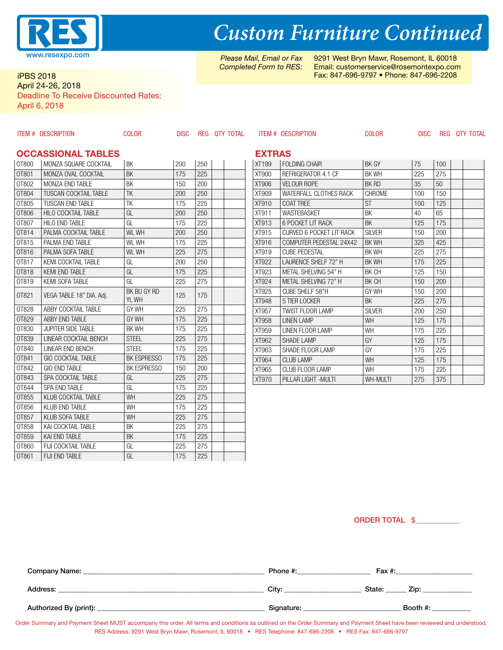

#### iPBS 2018 April 24-26, 2018

Deadline To Receive Discounted Rates:

OT859 KAI END TABLE BK 175 225 OT860 FIJI COCKTAIL TABLE GL 225 275 OT861 FIJI END TABLE GL 175 225

April 6, 2018

|                                            | <b>ITEM # DESCRIPTION</b>    | <b>COLOR</b>         | <b>DISC</b> |     |  | REG QTY TOTAL |                       | <b>ITEM # DESCRIPTION</b>        | <b>COLOR</b>       | <b>DISC</b> |            |  | REG QTY TOTAL |
|--------------------------------------------|------------------------------|----------------------|-------------|-----|--|---------------|-----------------------|----------------------------------|--------------------|-------------|------------|--|---------------|
| <b>EXTRAS</b><br><b>OCCASSIONAL TABLES</b> |                              |                      |             |     |  |               |                       |                                  |                    |             |            |  |               |
| OT800                                      | MONZA SQUARE COCKTAIL        | <b>BK</b>            | 200         | 250 |  |               | XT199                 | <b>FOLDING CHAIR</b>             | BK GY              | 75          | 100        |  |               |
| OT801                                      | MONZA OVAL COCKTAIL          | <b>BK</b>            | 175         | 225 |  |               | XT900                 | REFRIGERATOR 4.1 CF              | <b>BK WH</b>       | 225         | 275        |  |               |
| OT802                                      | MONZA END TABLE              | <b>BK</b>            | 150         | 200 |  |               | XT906                 | <b>VELOUR ROPE</b>               | BK RD              | 35          | 50         |  |               |
| OT804                                      | <b>TUSCAN COCKTAIL TABLE</b> | <b>TK</b>            | 200         | 250 |  |               | XT909                 | WATERFALL CLOTHES RACK           | CHROME             | 100         | 150        |  |               |
| OT805                                      | TUSCAN END TABLE             | <b>TK</b>            | 175         | 225 |  |               | XT910                 | <b>COAT TREE</b>                 | <b>ST</b>          | 100         | 125        |  |               |
| OT806                                      | HILO COCKTAIL TABLE          | GL                   | 200         | 250 |  |               | XT911                 | WASTEBASKET                      | <b>BK</b>          | 40          | 65         |  |               |
| OT807                                      | <b>HILO END TABLE</b>        | GL                   | 175         | 225 |  |               | XT913                 | 6 POCKET LIT RACK                | BK                 | 125         | 175        |  |               |
| OT814                                      | PALMA COCKTAIL TABLE         | WL WH                | 200         | 250 |  |               | XT915                 | <b>CURVED 6 POCKET LIT RACK</b>  | <b>SILVER</b>      | 150         | 200        |  |               |
| OT815                                      | PALMA END TABLE              | WL WH                | 175         | 225 |  |               | XT916                 | COMPUTER PEDESTAL 24X42          | BK WH              | 325         | 425        |  |               |
| OT816                                      | PALMA SOFA TABLE             | <b>WL WH</b>         | 225         | 275 |  |               | XT919                 | <b>CUBE PEDESTAL</b>             | BK WH              | 225         | 275        |  |               |
| OT817                                      | KEMI COCKTAIL TABLE          | GL                   | 200         | 250 |  |               | <b>XT922</b>          | LAURENCE SHELF 72" H             | <b>BK WH</b>       | 175         | 225        |  |               |
| OT818                                      | <b>KEMI END TABLE</b>        | GL                   | 175         | 225 |  |               | XT923                 | METAL SHELVING 54" H             | BK CH              | 125         | 150        |  |               |
| OT819                                      | KEMI SOFA TABLE              | GL                   | 225         | 275 |  |               | <b>XT924</b>          | METAL SHELVING 72" H             | BK CH              | 150         | 200        |  |               |
| OT821                                      | VEGA TABLE 18" DIA. Adj.     | BK BU GY RD<br>YL WH | 125         | 175 |  |               | XT925<br><b>XT948</b> | CUBE SHELF 58"H<br>5 TIER LOCKER | GY WH<br><b>BK</b> | 150         | 200        |  |               |
| OT828                                      | ABBY COCKTAIL TABLE          | GY WH                | 225         | 275 |  |               | XT957                 | <b>TWIST FLOOR LAMP</b>          | <b>SILVER</b>      | 225<br>200  | 275<br>250 |  |               |
| OT829                                      | ABBY END TABLE               | GY WH                | 175         | 225 |  |               | XT958                 | <b>LINEN LAMP</b>                | <b>WH</b>          | 125         | 175        |  |               |
| OT830                                      | <b>JUPITER SIDE TABLE</b>    | <b>BK WH</b>         | 175         | 225 |  |               | XT959                 | LINEN FLOOR LAMP                 | <b>WH</b>          | 175         | 225        |  |               |
| OT839                                      | LINEAR COCKTAIL BENCH        | <b>STEEL</b>         | 225         | 275 |  |               | XT962                 | <b>SHADE LAMP</b>                | GY                 | 125         | 175        |  |               |
| OT840                                      | <b>LINEAR END BENCH</b>      | <b>STEEL</b>         | 175         | 225 |  |               | XT963                 | SHADE FLOOR LAMP                 | GY                 | 175         | 225        |  |               |
| OT841                                      | <b>GIO COCKTAIL TABLE</b>    | BK ESPRESSO          | 175         | 225 |  |               | XT964                 | <b>CLUB LAMP</b>                 | WH                 | 125         | 175        |  |               |
| OT842                                      | <b>GIO END TABLE</b>         | BK ESPRESSO          | 150         | 200 |  |               | XT965                 | <b>CLUB FLOOR LAMP</b>           | <b>WH</b>          | 175         | 225        |  |               |
| OT843                                      | SPA COCKTAIL TABLE           | GL                   | 225         | 275 |  |               | XT970                 | PILLAR LIGHT - MULTI             | WH-MULTI           | 275         | 375        |  |               |
| 0T844                                      | SPA END TABLE                | GL                   | 175         | 225 |  |               |                       |                                  |                    |             |            |  |               |
| OT855                                      | KLUB COCKTAIL TABLE          | WH                   | 225         | 275 |  |               |                       |                                  |                    |             |            |  |               |
| OT856                                      | <b>KLUB END TABLE</b>        | WH                   | 175         | 225 |  |               |                       |                                  |                    |             |            |  |               |
| OT857                                      | KLUB SOFA TABLE              | WH                   | 225         | 275 |  |               |                       |                                  |                    |             |            |  |               |
| OT858                                      | KAI COCKTAIL TABLE           | <b>BK</b>            | 225         | 275 |  |               |                       |                                  |                    |             |            |  |               |

ORDER TOTAL \$\_\_\_\_\_\_\_\_\_\_\_\_

| Company Name: _        | Phone #:   | Fax #:         |
|------------------------|------------|----------------|
| Address:               | City:      | State:<br>Zip: |
| Authorized By (print): | Signature: | Booth #:       |

# *Custom Furniture Continued*

*Please Mail, Email or Fax Completed Form to RES:*

9291 West Bryn Mawr, Rosemont, IL 60018 Email: customerservice@rosemontexpo.com Fax: 847-696-9797 • Phone: 847-696-2208

Order Summary and Payment Sheet MUST accompany this order. All terms and conditions as outlined on the Order Summary and Payment Sheet have been reviewed and understood. RES Address: 9291 West Bryn Mawr, Rosemont, IL 60018 • RES Telephone: 847-696-2208 • RES Fax: 847-696-9797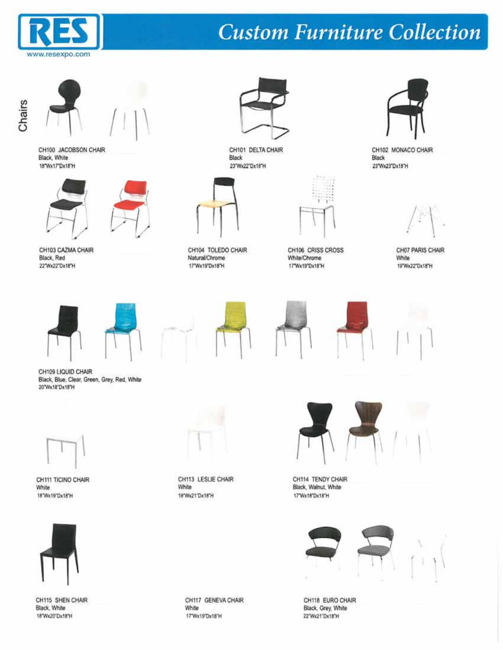





CH100 JACOBSON CHAIR Black, White 18"Wx17"Dx18"H



CH103 CAZMA CHAIR Black, Red 22"Wx22"Dx18"H





CH101 DELTA CHAIR Black 23"Wx22"Dx18"H



CH104 TOLEDO CHAIR Natural/Chrome 17"Wx19"Dx18"H



CH106 CRISS CROSS White/Chrome 17"Wx19"Dx18"H



CH102 MONACO CHAIR Black 23"Wx23"Dx18"H

CH07 PARIS CHAIR White 19"Wx22"Dx18"H













Black, Blue, Clear, Green, Grey, Red, White 20"Wx18"Dx18"H



CH111 TICINO CHAIR White 18"Wx19"Dx18"H



CH113 LESLIE CHAIR White 19'Wx21'Dx18'H



CH114 TENDY CHAIR Black, Walnut, White 17"Wx18"Dx18"H





CH118 EURO CHAIR Black, Grey, White 22"Wx21"Dx18"H



CH115 SHEN CHAIR Black, White 18"Wx20"Dx18"H

CH117 GENEVA CHAIR White 17"Wx19"Dx18"H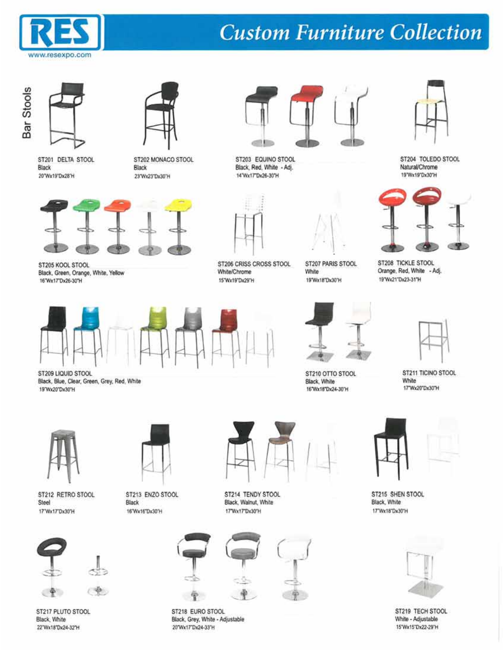





20"Wx19"Dx28"H



ST202 MONACO STOOL Black 23"Wx23"Dx30"H



ST205 KOOL STOOL Black, Green, Orange, White, Yellow 16"Wx17"Dx26-30"H





ST206 CRISS CROSS STOOL White/Chrome 15"Wx19"Dx29"H



ST203 EQUINO STOOL Black, Red. White - Adj. 14"Wx17"Dx26-30"H



ST207 PARIS STOOL White 19"Wx18"Dx30"H



ST204 TOLEDO STOOL Natural/Chrome 19'Wx19'Dx30'H



ST208 TICKLE STOOL Orange, Red, White - Adj. 19'Wx21'Dx23-31"H



ST209 LIQUID STOOL Black, Blue, Clear, Green, Grey, Red, White 19'Wx20"Dx30"H



ST212 RETRO STOOL Steel 17"Wx17"Dx30"H



ST213 ENZO STOOL Black 16"Wx16"Dx30"H



ST214 TENDY STOOL Black, Walnut, White 17'Wx17'Dx30'H



ST218 EURO STOOL Black, Grey, White - Adjustable 20"Wx17"Dx24-33"H



ST210 OTTO STOOL Black, White 16"Wx18"Dx24-30"H



ST211 TICINO STOOL White 17"Wx20"Dx30"H



ST215 SHEN STOOL Black, White 17"Wx18"Dx30"H



ST219 TECH STOOL White - Adjustable 15'Wx15'Dx22-29'H



 $\rightarrow$ 

ST217 PLUTO STOOL Black, White 22"Wx18"Dx24-32"H

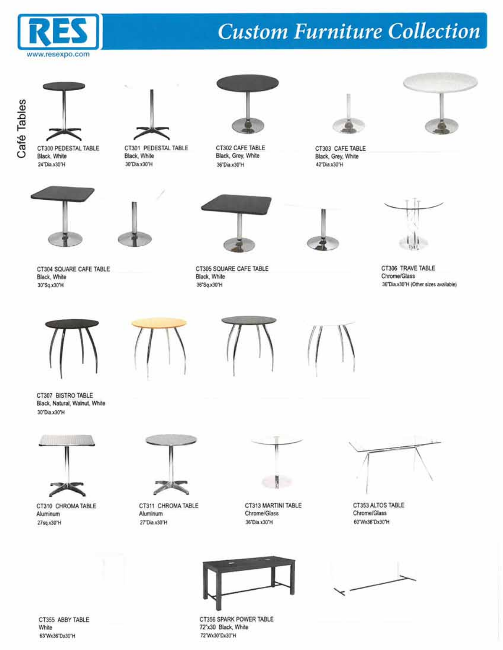



CT300 PEDESTAL TABLE Black, White

24"Dia.x30"H



CT301 PEDESTAL TABLE Black, White 30°Dia.x30°H



CT302 CAFE TABLE Black, Grey, White 36°Dia x30°H



CT303 CAFE TABLE Black, Grey, White 42"Dia.x30"H







CT304 SQUARE CAFE TABLE Black, White 30°Sq.x30°H



CT305 SQUARE CAFE TABLE Black, White 36"Sq.x30"H





CT306 TRAVE TABLE Chrome/Glass 36°Dia.x30°H (Other sizes available)



CT307 BISTRO TABLE Black, Natural, Walnut, White 30°Dia.x30°H



CT310 CHROMA TABLE Aluminum 27sq x30°H



CT311 CHROMA TABLE Aluminum 27"Dia x30"H



CT313 MARTINI TABLE Chrome/Glass 36"Dia x30"H







CT355 ABBY TABLE White 63'Wx36"Dx30"H

CT356 SPARK POWER TABLE 72"x30 Black, White 72"Wx30"Dx30"H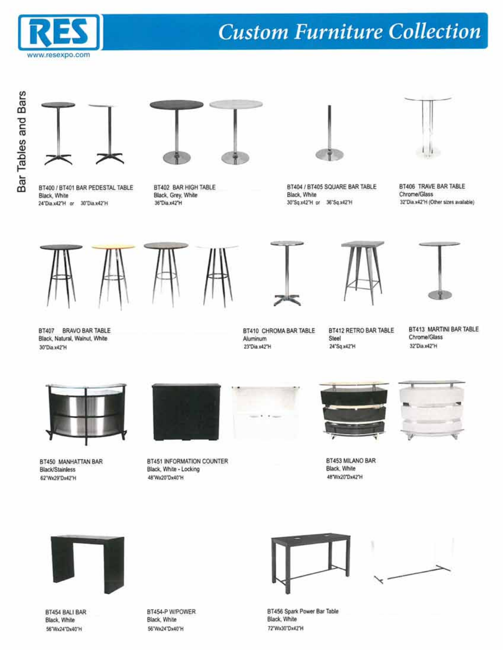





BT400 / BT401 BAR PEDESTAL TABLE Black, White 24"Dia.x42"H or 30"Dia.x42"H

BT402 BAR HIGH TABLE Black, Grey, White 36 Dia x42 H



BT404 / BT405 SQUARE BAR TABLE Black, White 30°Sq x42°H or 36°Sq x42°H



BT406 TRAVE BAR TABLE Chrome/Glass 32"Dia.x42"H (Other sizes available)





BT410 CHROMA BAR TABLE

Aluminum

23"Dia.x42"H

BT412 RETRO BAR TABLE

Steel

24°Sq x42°H



BT413 MARTINI BAR TABLE Chrome/Glass 32"Dia.x42"H

BT407 BRAVO BAR TABLE Black, Natural, Walnut, White 30°Dia.x42°H



BT450 MANHATTAN BAR Black/Stainless 62"Wx29"Dx42"H



BT451 INFORMATION COUNTER Black, White - Locking 48'Wx20"Dx40"H





**Black, White** 48'Wx20'Dx42'H









BT454 BALI BAR Black, White 56"Wx24"Dx40"H

BT454-P W/POWER Black, White 56"Wx24"Dx40"H





BT456 Spark Power Bar Table Black, White 72"Wx30"Dx42"H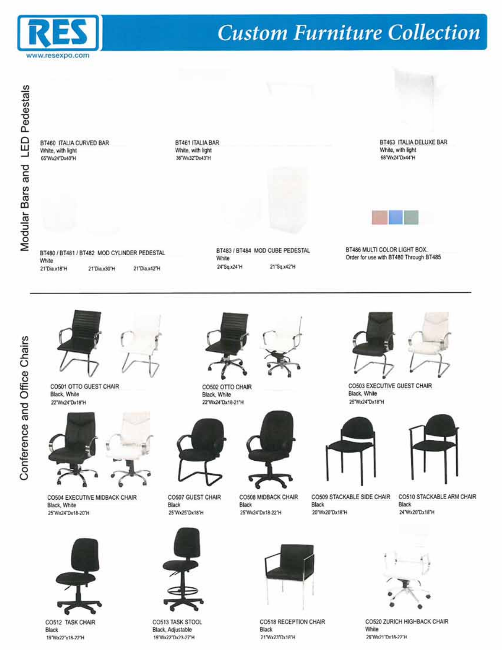

Modular Bars and LED Pedestals

BT460 ITALIA CURVED BAR White, with light 65"Wx24"Dx40"H

BT461 ITALIA BAR White, with light 36"Wx32"Dx43"H



BT463 ITALIA DELUXE BAR White, with light 68'Wx24"Dx44"H



BT480 / BT481 / BT482 MOD CYLINDER PEDESTAL White 21"Dia x18"H 21 Dia x30 H 21"Dia.x42"H

BT483 / BT484 MOD CUBE PEDESTAL White 24°Sq.x24°H 21°Sq.x42°H

BT486 MULTI COLOR LIGHT BOX. Order for use with 8T480 Through BT485



CO501 OTTO GUEST CHAIR Black, White 22"Wx24"Dx18"H



CO504 EXECUTIVE MIDBACK CHAIR Black, White 25"Wx24"Dx18-20"H



CO512 TASK CHAIR **Black** 19'Wx22"x18-22"H





CO507 GUEST CHAIR Black 25"Wx25"Dx18"H

CO513 TASK STOOL

Black, Adjustable

19'Wx22'Dx23-27'H



CO508 MIDBACK CHAIR Black 25"Wx24"Dx18-22"H





CO509 STACKABLE SIDE CHAIR Black 20"Wx20"Dx18"H



CO510 STACKABLE ARM CHAIR **Black** 24"Wx20"Dx18"H



CO520 ZURICH HIGHBACK CHAIR White 26"Wx21"Dx18-22"H





CO518 RECEPTION CHAIR Black 21"Wx23"Dx18"H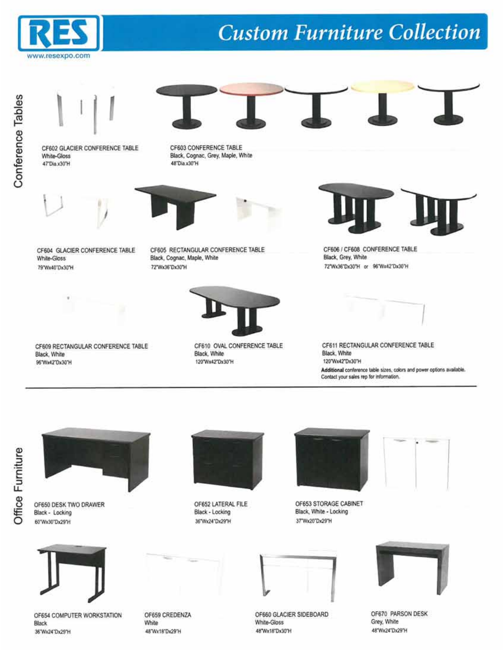





CF603 CONFERENCE TABLE Black, Cognac, Grey, Maple, White 48"Dia.x30"H



CF604 GLACIER CONFERENCE TABLE White-Gloss 79"Wx40"Dx30"H

CF605 RECTANGULAR CONFERENCE TABLE Black, Cognac, Maple, White 72"Wx36"Dx30"H



CF610 OVAL CONFERENCE TABLE CF609 RECTANGULAR CONFERENCE TABLE Black, White 120"Wx42"Dx30"H



CF606 / CF608 CONFERENCE TABLE Black, Grey, White 72"Wx36"Dx30"H or 96"Wx42"Dx30"H



CF611 RECTANGULAR CONFERENCE TABLE Black, White 120'Wx42"Dx30"H Additional conference table sizes, colors and power options available. Contact your sales rep for information.



OF650 DESK TWO DRAWER Black - Locking 60"Wx30"Dx29"H

Black, White

96"Wx42"Dx30"H



OF652 LATERAL FILE Black - Locking 36"Wx24"Dx29"H



OF653 STORAGE CABINET Black, White - Locking 37 Wx20 Dx29 H





OF654 COMPUTER WORKSTATION Black 36'Wx24'Dx29'H

OF659 CREDENZA White 48"Wx18"Dx29"H

OF660 GLACIER SIDEBOARD White-Gloss

48 Wx18 Dx30 H



OF670 PARSON DESK Grey, White 48"Wx24"Dx29"H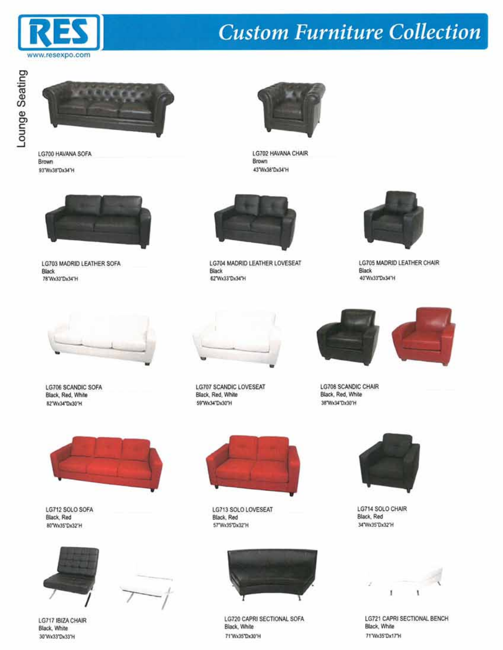



LG700 HAVANA SOFA Brown 93"Wx38"Dx34"H



LG703 MADRID LEATHER SOFA Black 78'Wx33'Dx34'H



Brown

43'Wx38"Dx34"H

LG702 HAVANA CHAIR

LG704 MADRID LEATHER LOVESEAT **Black** 62"Wx33"Dx34"H



LG705 MADRID LEATHER CHAIR Black 40'Wx33"Dx34"H



LG706 SCANDIC SOFA Black, Red, White 82"Wx34"Dx30"H



LG707 SCANDIC LOVESEAT Black, Red, White 59"Wx34"Dx30"H



LG708 SCANDIC CHAIR Black, Red, White 38"Wx34"Dx30"H





LG712 SOLO SOFA Black, Red 80"Wx35"Dx32"H





LG713 SOLO LOVESEAT Black, Red 57"Wx35"Dx32"H



LG720 CAPRI SECTIONAL SOFA Black, White 71'Wx35"Dx30"H



LG714 SOLO CHAIR Black, Red 34"Wx35"Dx32"H



LG721 CAPRI SECTIONAL BENCH Black, White 71 Wx35 Dx17 H

LG717 IBIZA CHAIR Black, White 30 Wx33 Dx33 H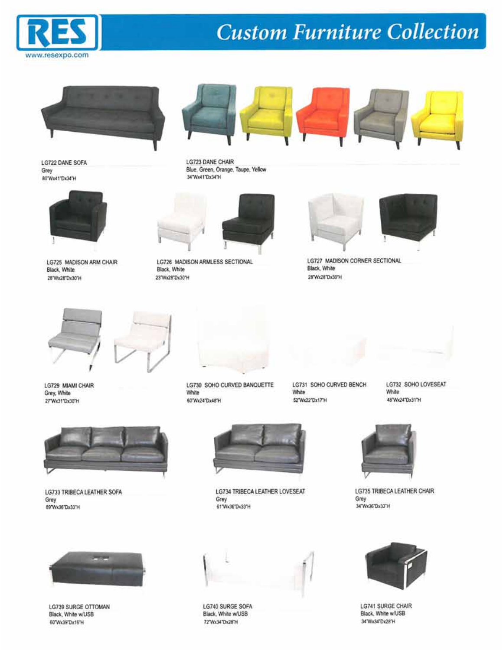



LG722 DANE SOFA Grey 80°Wx41°Dx34°H



LG725 MADISON ARM CHAIR Black, White 28"Wx28"Dx30"H



LG723 DANE CHAIR Blue, Green, Orange, Taupe, Yellow 34 Wx41 Dx34 H



LG726 MADISON ARMLESS SECTIONAL Black, White 23"Wx28"Dx30"H



**LG727 MADISON CORNER SECTIONAL** Black, White 28"Wx28"Dx30"H



LG729 MIAMI CHAIR Grey, White 27 Wx31 Dx30 H





LG730 SOHO CURVED BANQUETTE White 60°Wx24°Dx48°H

LG731 SOHO CURVED BENCH White 52'Wx22"Dx17"H







LG733 TRIBECA LEATHER SOFA Grey 89'Wx36'Dx33'H



LG734 TRIBECA LEATHER LOVESEAT Grey 61"Wx36"Dx33"H



LG735 TRIBECA LEATHER CHAIR Grey 34"Wx36"Dx33"H



LG739 SURGE OTTOMAN Black, White w/USB 60"Wx39"Dx16"H



LG740 SURGE SOFA Black, White w/USB 72'Wx34"Dx28"H



LG741 SURGE CHAIR Black, White w/USB 34'Wx34"Dx28'H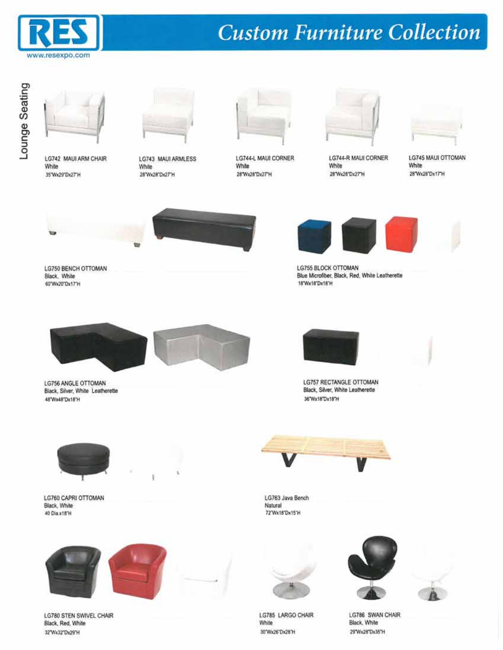



LG742 MAUI ARM CHAIR White 35 Wx29 Dx27 H



LG743 MAUI ARMLESS White 28"Wx28"Dx27"H



LG744-L MAUI CORNER White 28"Wx28"Dx27"H



**LG744-R MAUI CORNER** White 28 W 28 D 27 H



**LG745 MAUI OTTOMAN** White 28"Wx28"Dx17"H



LG750 BENCH OTTOMAN Black, White 60"Wx20"Dx17"H







**LG755 BLOCK OTTOMAN** Blue Microfiber, Black, Red, White Leatherette 18"Wx18"Dx18"H



LG756 ANGLE OTTOMAN Black, Silver, White Leatherette 48'Wx48"Dx18"H



**LG757 RECTANGLE OTTOMAN** Black, Silver, White Leatherette 36"Wx18"Dx18"H



LG760 CAPRI OTTOMAN Black, White 40 Dia x18 H





LG763 Java Bench Natural 72"Wx18"Dx15"H



LG780 STEN SWIVEL CHAIR Black, Red, White 32"Wx32"Dx29"H



LG785 LARGO CHAIR White 30"Wx26"Dx26"H





LG786 SWAN CHAIR Black, White 29"Wx28"Dx35"H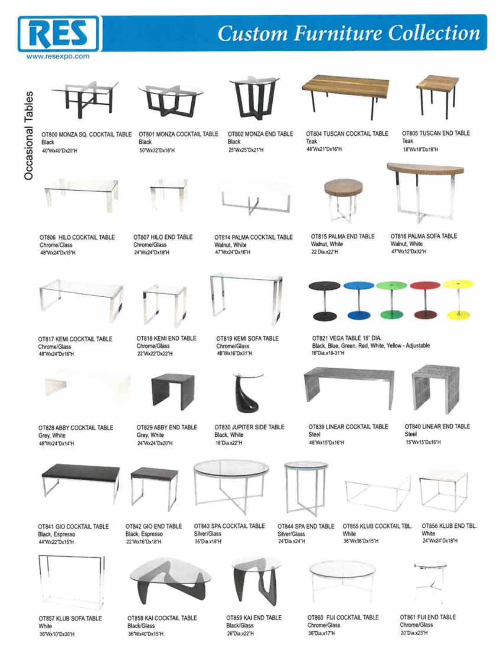